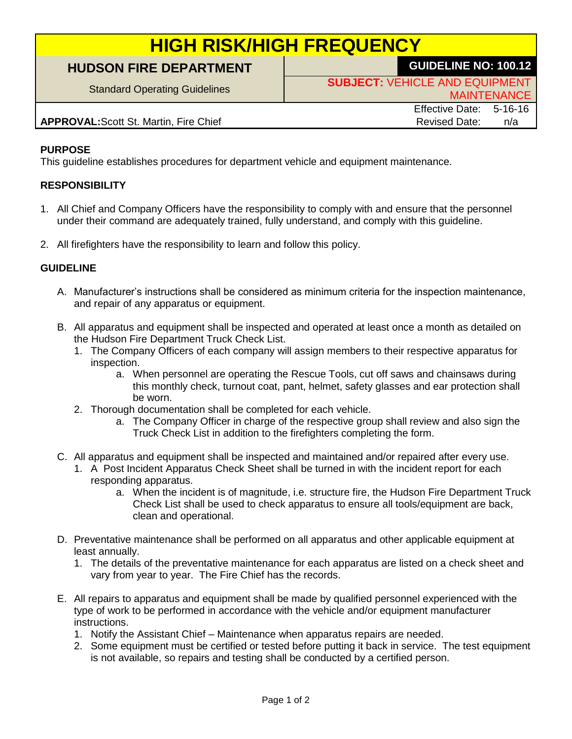# **HIGH RISK/HIGH FREQUENCY**

## **HUDSON FIRE DEPARTMENT GUIDELINE NO: 100.12**

Effective Date: 5-16-16

Standard Operating Guidelines **SUBJECT:** VEHICLE AND EQUIPMENT MAINTENANCE

### **APPROVAL:**Scott St. Martin, Fire Chief **Revised Date:** The Revised Date: n/a

#### **PURPOSE**

This guideline establishes procedures for department vehicle and equipment maintenance.

#### **RESPONSIBILITY**

- 1. All Chief and Company Officers have the responsibility to comply with and ensure that the personnel under their command are adequately trained, fully understand, and comply with this guideline.
- 2. All firefighters have the responsibility to learn and follow this policy.

#### **GUIDELINE**

- A. Manufacturer's instructions shall be considered as minimum criteria for the inspection maintenance, and repair of any apparatus or equipment.
- B. All apparatus and equipment shall be inspected and operated at least once a month as detailed on the Hudson Fire Department Truck Check List.
	- 1. The Company Officers of each company will assign members to their respective apparatus for inspection.
		- a. When personnel are operating the Rescue Tools, cut off saws and chainsaws during this monthly check, turnout coat, pant, helmet, safety glasses and ear protection shall be worn.
	- 2. Thorough documentation shall be completed for each vehicle.
		- a. The Company Officer in charge of the respective group shall review and also sign the Truck Check List in addition to the firefighters completing the form.
- C. All apparatus and equipment shall be inspected and maintained and/or repaired after every use.
	- 1. A Post Incident Apparatus Check Sheet shall be turned in with the incident report for each responding apparatus.
		- a. When the incident is of magnitude, i.e. structure fire, the Hudson Fire Department Truck Check List shall be used to check apparatus to ensure all tools/equipment are back, clean and operational.
- D. Preventative maintenance shall be performed on all apparatus and other applicable equipment at least annually.
	- 1. The details of the preventative maintenance for each apparatus are listed on a check sheet and vary from year to year. The Fire Chief has the records.
- E. All repairs to apparatus and equipment shall be made by qualified personnel experienced with the type of work to be performed in accordance with the vehicle and/or equipment manufacturer instructions.
	- 1. Notify the Assistant Chief Maintenance when apparatus repairs are needed.
	- 2. Some equipment must be certified or tested before putting it back in service. The test equipment is not available, so repairs and testing shall be conducted by a certified person.